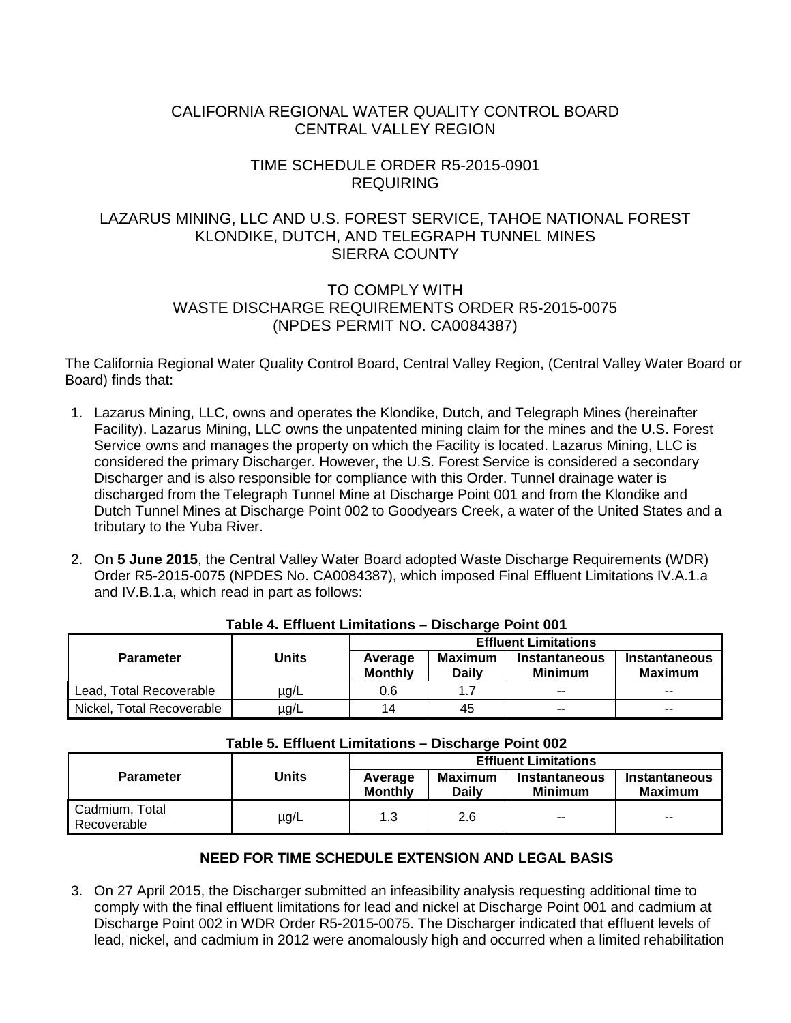# CALIFORNIA REGIONAL WATER QUALITY CONTROL BOARD CENTRAL VALLEY REGION

# TIME SCHEDULE ORDER R5-2015-0901 REQUIRING

# LAZARUS MINING, LLC AND U.S. FOREST SERVICE, TAHOE NATIONAL FOREST KLONDIKE, DUTCH, AND TELEGRAPH TUNNEL MINES SIERRA COUNTY

# TO COMPLY WITH WASTE DISCHARGE REQUIREMENTS ORDER R5-2015-0075 (NPDES PERMIT NO. CA0084387)

The California Regional Water Quality Control Board, Central Valley Region, (Central Valley Water Board or Board) finds that:

- 1. Lazarus Mining, LLC, owns and operates the Klondike, Dutch, and Telegraph Mines (hereinafter Facility). Lazarus Mining, LLC owns the unpatented mining claim for the mines and the U.S. Forest Service owns and manages the property on which the Facility is located. Lazarus Mining, LLC is considered the primary Discharger. However, the U.S. Forest Service is considered a secondary Discharger and is also responsible for compliance with this Order. Tunnel drainage water is discharged from the Telegraph Tunnel Mine at Discharge Point 001 and from the Klondike and Dutch Tunnel Mines at Discharge Point 002 to Goodyears Creek, a water of the United States and a tributary to the Yuba River.
- 2. On **5 June 2015**, the Central Valley Water Board adopted Waste Discharge Requirements (WDR) Order R5-2015-0075 (NPDES No. CA0084387), which imposed Final Effluent Limitations IV.A.1.a and IV.B.1.a, which read in part as follows:

|                           |       | <b>Effluent Limitations</b> |                         |                                 |                          |  |
|---------------------------|-------|-----------------------------|-------------------------|---------------------------------|--------------------------|--|
| <b>Parameter</b>          | Units | Average<br><b>Monthly</b>   | Maximum<br><b>Daily</b> | Instantaneous<br><b>Minimum</b> | Instantaneous<br>Maximum |  |
| Lead, Total Recoverable   | ug/L  | 0.6                         | 17                      | $\overline{\phantom{a}}$        | $- -$                    |  |
| Nickel, Total Recoverable | µg/L  | 14                          | 45                      | $\overline{a}$                  | $\sim$ $\sim$            |  |

## **Table 4. Effluent Limitations – Discharge Point 001**

| Table 5. Effluent Limitations – Discharge Point 002 |              |                             |                                |                                        |                                        |  |
|-----------------------------------------------------|--------------|-----------------------------|--------------------------------|----------------------------------------|----------------------------------------|--|
|                                                     | <b>Units</b> | <b>Effluent Limitations</b> |                                |                                        |                                        |  |
| <b>Parameter</b>                                    |              | Average<br><b>Monthly</b>   | <b>Maximum</b><br><b>Daily</b> | <b>Instantaneous</b><br><b>Minimum</b> | <b>Instantaneous</b><br><b>Maximum</b> |  |
| Cadmium, Total<br>Recoverable                       | $\mu$ g/L    | 1.3                         | 2.6                            | $- -$                                  | $\overline{\phantom{a}}$               |  |

## **NEED FOR TIME SCHEDULE EXTENSION AND LEGAL BASIS**

3. On 27 April 2015, the Discharger submitted an infeasibility analysis requesting additional time to comply with the final effluent limitations for lead and nickel at Discharge Point 001 and cadmium at Discharge Point 002 in WDR Order R5-2015-0075. The Discharger indicated that effluent levels of lead, nickel, and cadmium in 2012 were anomalously high and occurred when a limited rehabilitation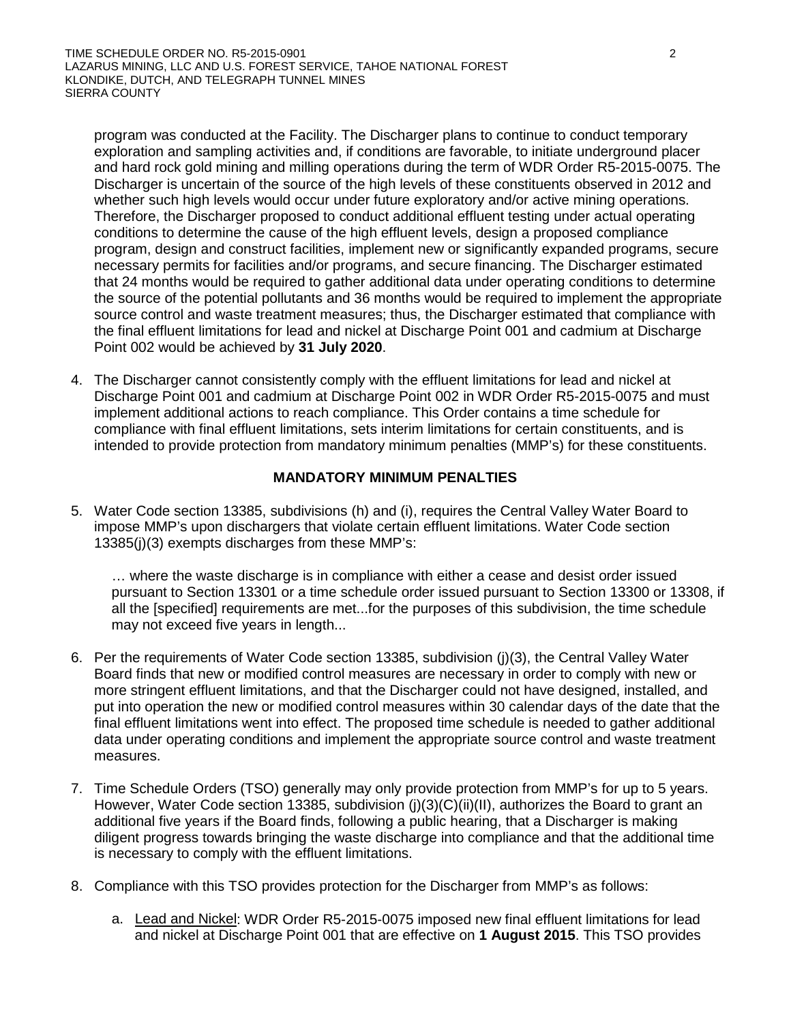program was conducted at the Facility. The Discharger plans to continue to conduct temporary exploration and sampling activities and, if conditions are favorable, to initiate underground placer and hard rock gold mining and milling operations during the term of WDR Order R5-2015-0075. The Discharger is uncertain of the source of the high levels of these constituents observed in 2012 and whether such high levels would occur under future exploratory and/or active mining operations. Therefore, the Discharger proposed to conduct additional effluent testing under actual operating conditions to determine the cause of the high effluent levels, design a proposed compliance program, design and construct facilities, implement new or significantly expanded programs, secure necessary permits for facilities and/or programs, and secure financing. The Discharger estimated that 24 months would be required to gather additional data under operating conditions to determine the source of the potential pollutants and 36 months would be required to implement the appropriate source control and waste treatment measures; thus, the Discharger estimated that compliance with the final effluent limitations for lead and nickel at Discharge Point 001 and cadmium at Discharge Point 002 would be achieved by **31 July 2020**.

4. The Discharger cannot consistently comply with the effluent limitations for lead and nickel at Discharge Point 001 and cadmium at Discharge Point 002 in WDR Order R5-2015-0075 and must implement additional actions to reach compliance. This Order contains a time schedule for compliance with final effluent limitations, sets interim limitations for certain constituents, and is intended to provide protection from mandatory minimum penalties (MMP's) for these constituents.

## **MANDATORY MINIMUM PENALTIES**

5. Water Code section 13385, subdivisions (h) and (i), requires the Central Valley Water Board to impose MMP's upon dischargers that violate certain effluent limitations. Water Code section 13385(j)(3) exempts discharges from these MMP's:

… where the waste discharge is in compliance with either a cease and desist order issued pursuant to Section 13301 or a time schedule order issued pursuant to Section 13300 or 13308, if all the [specified] requirements are met...for the purposes of this subdivision, the time schedule may not exceed five years in length...

- 6. Per the requirements of Water Code section 13385, subdivision (j)(3), the Central Valley Water Board finds that new or modified control measures are necessary in order to comply with new or more stringent effluent limitations, and that the Discharger could not have designed, installed, and put into operation the new or modified control measures within 30 calendar days of the date that the final effluent limitations went into effect. The proposed time schedule is needed to gather additional data under operating conditions and implement the appropriate source control and waste treatment measures.
- 7. Time Schedule Orders (TSO) generally may only provide protection from MMP's for up to 5 years. However, Water Code section 13385, subdivision (j)(3)(C)(ii)(II), authorizes the Board to grant an additional five years if the Board finds, following a public hearing, that a Discharger is making diligent progress towards bringing the waste discharge into compliance and that the additional time is necessary to comply with the effluent limitations.
- 8. Compliance with this TSO provides protection for the Discharger from MMP's as follows:
	- a. Lead and Nickel: WDR Order R5-2015-0075 imposed new final effluent limitations for lead and nickel at Discharge Point 001 that are effective on **1 August 2015**. This TSO provides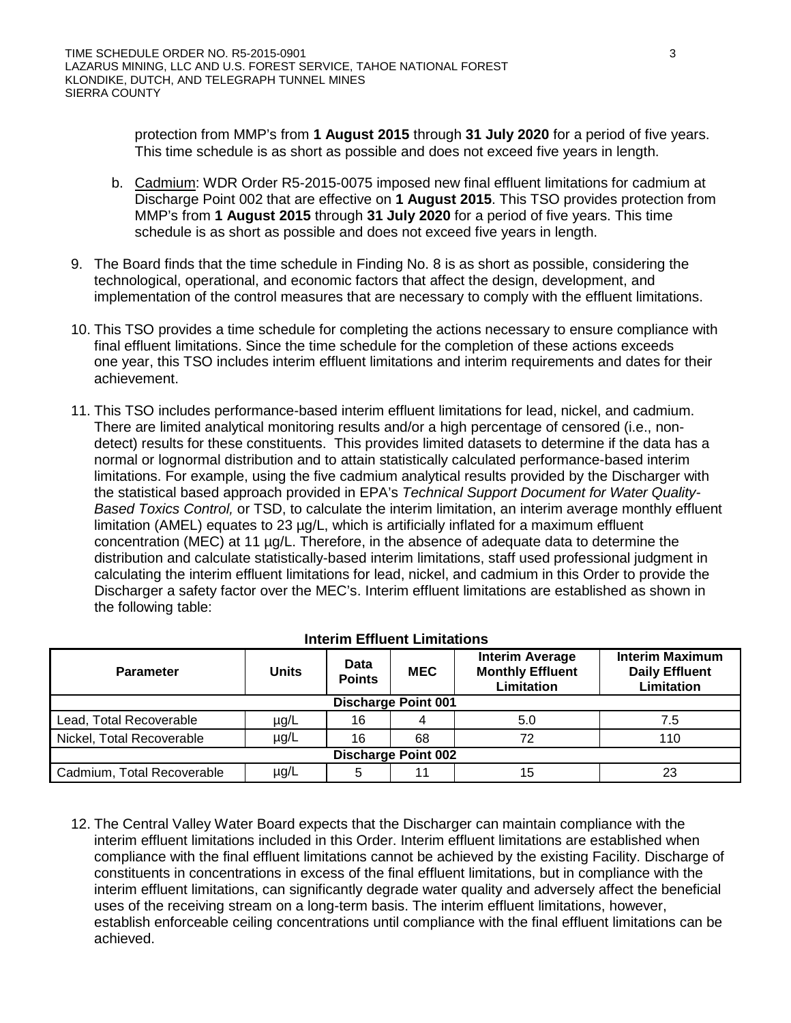protection from MMP's from **1 August 2015** through **31 July 2020** for a period of five years. This time schedule is as short as possible and does not exceed five years in length.

- b. Cadmium: WDR Order R5-2015-0075 imposed new final effluent limitations for cadmium at Discharge Point 002 that are effective on **1 August 2015**. This TSO provides protection from MMP's from **1 August 2015** through **31 July 2020** for a period of five years. This time schedule is as short as possible and does not exceed five years in length.
- 9. The Board finds that the time schedule in Finding No. 8 is as short as possible, considering the technological, operational, and economic factors that affect the design, development, and implementation of the control measures that are necessary to comply with the effluent limitations.
- 10. This TSO provides a time schedule for completing the actions necessary to ensure compliance with final effluent limitations. Since the time schedule for the completion of these actions exceeds one year, this TSO includes interim effluent limitations and interim requirements and dates for their achievement.
- 11. This TSO includes performance-based interim effluent limitations for lead, nickel, and cadmium. There are limited analytical monitoring results and/or a high percentage of censored (i.e., nondetect) results for these constituents. This provides limited datasets to determine if the data has a normal or lognormal distribution and to attain statistically calculated performance-based interim limitations. For example, using the five cadmium analytical results provided by the Discharger with the statistical based approach provided in EPA's *Technical Support Document for Water Quality-Based Toxics Control,* or TSD, to calculate the interim limitation, an interim average monthly effluent limitation (AMEL) equates to 23 µg/L, which is artificially inflated for a maximum effluent concentration (MEC) at 11 µg/L. Therefore, in the absence of adequate data to determine the distribution and calculate statistically-based interim limitations, staff used professional judgment in calculating the interim effluent limitations for lead, nickel, and cadmium in this Order to provide the Discharger a safety factor over the MEC's. Interim effluent limitations are established as shown in the following table:

| <b>Parameter</b>           | <b>Units</b> | <b>Data</b><br><b>Points</b> | <b>MEC</b> | <b>Interim Average</b><br><b>Monthly Effluent</b><br><b>Limitation</b> | <b>Interim Maximum</b><br><b>Daily Effluent</b><br><b>Limitation</b> |  |
|----------------------------|--------------|------------------------------|------------|------------------------------------------------------------------------|----------------------------------------------------------------------|--|
| <b>Discharge Point 001</b> |              |                              |            |                                                                        |                                                                      |  |
| Lead, Total Recoverable    | $\mu$ g/L    | 16                           |            | 5.0                                                                    | 7.5                                                                  |  |
| Nickel, Total Recoverable  | $\mu$ g/L    | 16                           | 68         | 72                                                                     | 110                                                                  |  |
| <b>Discharge Point 002</b> |              |                              |            |                                                                        |                                                                      |  |
| Cadmium, Total Recoverable | $\mu$ g/L    |                              |            | 15                                                                     | 23                                                                   |  |

## **Interim Effluent Limitations**

12. The Central Valley Water Board expects that the Discharger can maintain compliance with the interim effluent limitations included in this Order. Interim effluent limitations are established when compliance with the final effluent limitations cannot be achieved by the existing Facility. Discharge of constituents in concentrations in excess of the final effluent limitations, but in compliance with the interim effluent limitations, can significantly degrade water quality and adversely affect the beneficial uses of the receiving stream on a long-term basis. The interim effluent limitations, however, establish enforceable ceiling concentrations until compliance with the final effluent limitations can be achieved.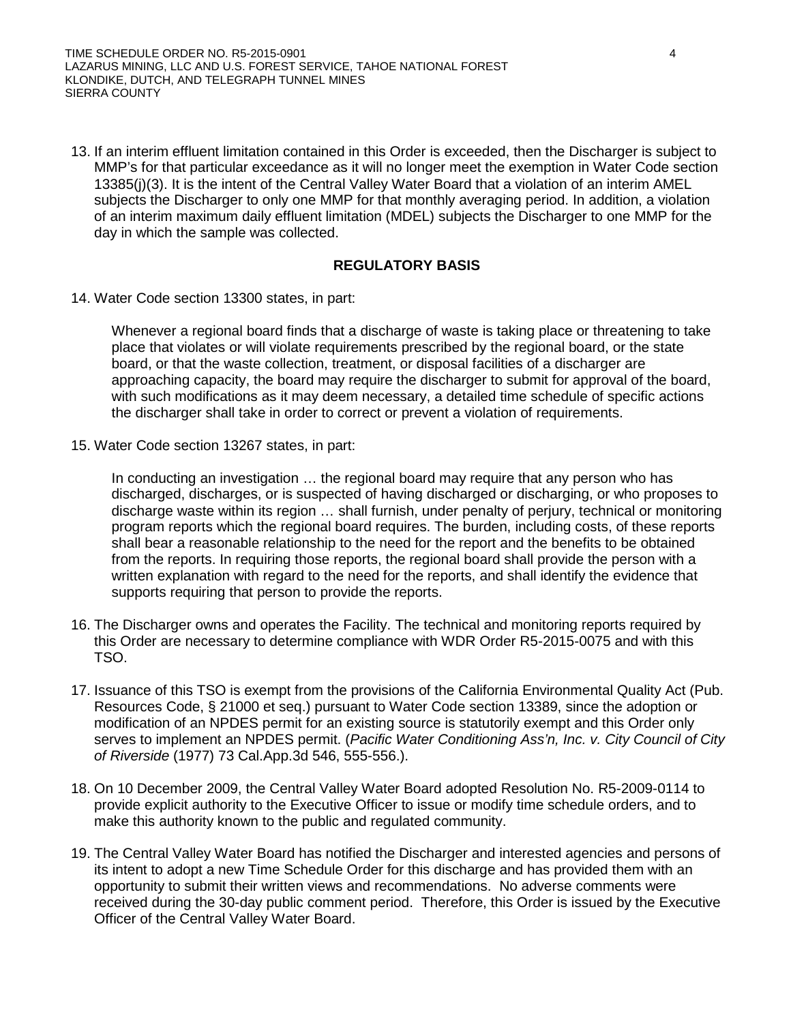TIME SCHEDULE ORDER NO. R5-2015-0901 4 LAZARUS MINING, LLC AND U.S. FOREST SERVICE, TAHOE NATIONAL FOREST KLONDIKE, DUTCH, AND TELEGRAPH TUNNEL MINES SIERRA COUNTY

13. If an interim effluent limitation contained in this Order is exceeded, then the Discharger is subject to MMP's for that particular exceedance as it will no longer meet the exemption in Water Code section 13385(j)(3). It is the intent of the Central Valley Water Board that a violation of an interim AMEL subjects the Discharger to only one MMP for that monthly averaging period. In addition, a violation of an interim maximum daily effluent limitation (MDEL) subjects the Discharger to one MMP for the day in which the sample was collected.

## **REGULATORY BASIS**

14. Water Code section 13300 states, in part:

Whenever a regional board finds that a discharge of waste is taking place or threatening to take place that violates or will violate requirements prescribed by the regional board, or the state board, or that the waste collection, treatment, or disposal facilities of a discharger are approaching capacity, the board may require the discharger to submit for approval of the board, with such modifications as it may deem necessary, a detailed time schedule of specific actions the discharger shall take in order to correct or prevent a violation of requirements.

15. Water Code section 13267 states, in part:

In conducting an investigation … the regional board may require that any person who has discharged, discharges, or is suspected of having discharged or discharging, or who proposes to discharge waste within its region … shall furnish, under penalty of perjury, technical or monitoring program reports which the regional board requires. The burden, including costs, of these reports shall bear a reasonable relationship to the need for the report and the benefits to be obtained from the reports. In requiring those reports, the regional board shall provide the person with a written explanation with regard to the need for the reports, and shall identify the evidence that supports requiring that person to provide the reports.

- 16. The Discharger owns and operates the Facility. The technical and monitoring reports required by this Order are necessary to determine compliance with WDR Order R5-2015-0075 and with this TSO.
- 17. Issuance of this TSO is exempt from the provisions of the California Environmental Quality Act (Pub. Resources Code, § 21000 et seq.) pursuant to Water Code section 13389, since the adoption or modification of an NPDES permit for an existing source is statutorily exempt and this Order only serves to implement an NPDES permit. (*Pacific Water Conditioning Ass'n, Inc. v. City Council of City of Riverside* (1977) 73 Cal.App.3d 546, 555-556.).
- 18. On 10 December 2009, the Central Valley Water Board adopted Resolution No. R5-2009-0114 to provide explicit authority to the Executive Officer to issue or modify time schedule orders, and to make this authority known to the public and regulated community.
- 19. The Central Valley Water Board has notified the Discharger and interested agencies and persons of its intent to adopt a new Time Schedule Order for this discharge and has provided them with an opportunity to submit their written views and recommendations. No adverse comments were received during the 30-day public comment period. Therefore, this Order is issued by the Executive Officer of the Central Valley Water Board.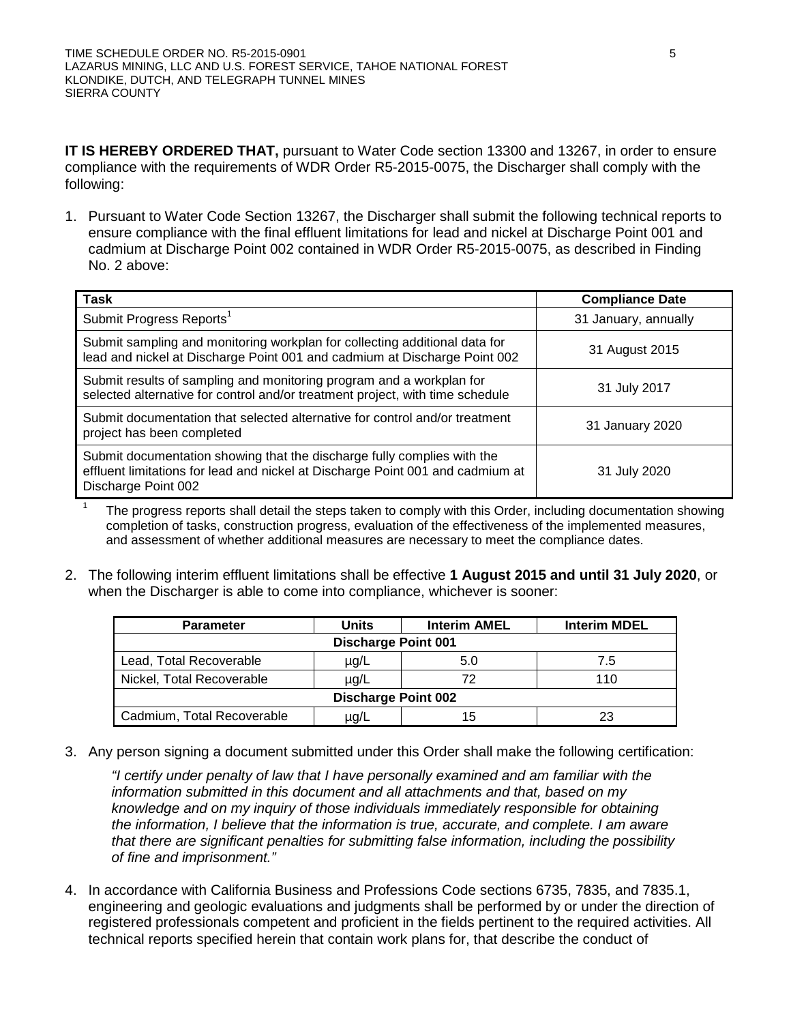**IT IS HEREBY ORDERED THAT,** pursuant to Water Code section 13300 and 13267, in order to ensure compliance with the requirements of WDR Order R5-2015-0075, the Discharger shall comply with the following:

1. Pursuant to Water Code Section 13267, the Discharger shall submit the following technical reports to ensure compliance with the final effluent limitations for lead and nickel at Discharge Point 001 and cadmium at Discharge Point 002 contained in WDR Order R5-2015-0075, as described in Finding No. 2 above:

| <b>Task</b>                                                                                                                                                                      | <b>Compliance Date</b> |
|----------------------------------------------------------------------------------------------------------------------------------------------------------------------------------|------------------------|
| Submit Progress Reports <sup>1</sup>                                                                                                                                             | 31 January, annually   |
| Submit sampling and monitoring workplan for collecting additional data for<br>lead and nickel at Discharge Point 001 and cadmium at Discharge Point 002                          | 31 August 2015         |
| Submit results of sampling and monitoring program and a workplan for<br>selected alternative for control and/or treatment project, with time schedule                            | 31 July 2017           |
| Submit documentation that selected alternative for control and/or treatment<br>project has been completed                                                                        | 31 January 2020        |
| Submit documentation showing that the discharge fully complies with the<br>effluent limitations for lead and nickel at Discharge Point 001 and cadmium at<br>Discharge Point 002 | 31 July 2020           |

The progress reports shall detail the steps taken to comply with this Order, including documentation showing completion of tasks, construction progress, evaluation of the effectiveness of the implemented measures, and assessment of whether additional measures are necessary to meet the compliance dates.

2. The following interim effluent limitations shall be effective **1 August 2015 and until 31 July 2020**, or when the Discharger is able to come into compliance, whichever is sooner:

| <b>Parameter</b>           | Units | <b>Interim AMEL</b> | <b>Interim MDEL</b> |  |  |  |
|----------------------------|-------|---------------------|---------------------|--|--|--|
| <b>Discharge Point 001</b> |       |                     |                     |  |  |  |
| Lead, Total Recoverable    | µg/L  | 5.0                 | 7.5                 |  |  |  |
| Nickel, Total Recoverable  | µg/L  |                     | 110                 |  |  |  |
| <b>Discharge Point 002</b> |       |                     |                     |  |  |  |
| Cadmium, Total Recoverable | µg/L  | 15                  | 23                  |  |  |  |

3. Any person signing a document submitted under this Order shall make the following certification:

*"I certify under penalty of law that I have personally examined and am familiar with the information submitted in this document and all attachments and that, based on my knowledge and on my inquiry of those individuals immediately responsible for obtaining the information, I believe that the information is true, accurate, and complete. I am aware that there are significant penalties for submitting false information, including the possibility of fine and imprisonment."*

4. In accordance with California Business and Professions Code sections 6735, 7835, and 7835.1, engineering and geologic evaluations and judgments shall be performed by or under the direction of registered professionals competent and proficient in the fields pertinent to the required activities. All technical reports specified herein that contain work plans for, that describe the conduct of